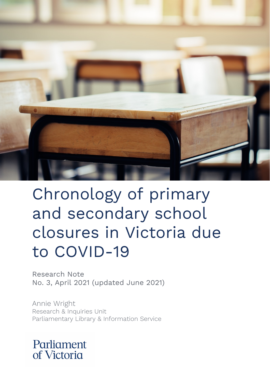

# Chronology of primary and secondary school closures in Victoria due to COVID-19

Research Note No. 3, April 2021 (updated June 2021)

Annie Wright Research & Inquiries Unit Parliamentary Library & Information Service

# Parliament of Victoria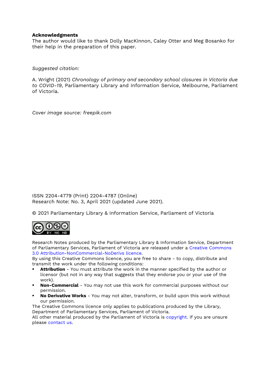#### **Acknowledgments**

The author would like to thank Dolly MacKinnon, Caley Otter and Meg Bosanko for their help in the preparation of this paper.

*Suggested citation:*

A. Wright (2021) *Chronology of primary and secondary school closures in Victoria due to COVID-19*, Parliamentary Library and Information Service, Melbourne, Parliament of Victoria.

*Cover image source: freepik.com*

ISSN 2204-4779 (Print) 2204-4787 (Online) Research Note: No. 3, April 2021 (updated June 2021).

© 2021 Parliamentary Library & Information Service, Parliament of Victoria



Research Notes produced by the Parliamentary Library & Information Service, Department of Parliamentary Services, Parliament of Victoria are released under a [Creative Commons](http://creativecommons.org/licenses/by-nc-nd/3.0/au/)  [3.0 Attribution-NonCommercial-NoDerivs licence.](http://creativecommons.org/licenses/by-nc-nd/3.0/au/) 

By using this Creative Commons licence, you are free to share - to copy, distribute and transmit the work under the following conditions:

- **Attribution** You must attribute the work in the manner specified by the author or licensor (but not in any way that suggests that they endorse you or your use of the work).
- **Non-Commercial** You may not use this work for commercial purposes without our permission.
- **No Derivative Works** You may not alter, transform, or build upon this work without our permission.

The Creative Commons licence only applies to publications produced by the Library, Department of Parliamentary Services, Parliament of Victoria.

All other material produced by the Parliament of Victoria is [copyright.](http://www.parliament.vic.gov.au/copyright) If you are unsure please [contact us.](http://www.parliament.vic.gov.au/contacts)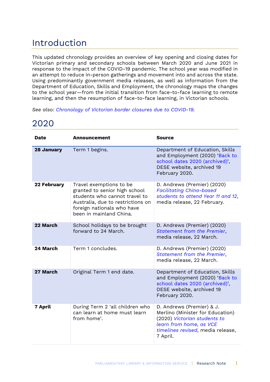## Introduction

This updated chronology provides an overview of key opening and closing dates for Victorian primary and secondary schools between March 2020 and June 2021 in response to the impact of the COVID-19 pandemic. The school year was modified in an attempt to reduce in-person gatherings and movement into and across the state. Using predominantly government media releases, as well as information from the Department of Education, Skills and Employment, the chronology maps the changes to the school year—from the initial transition from face-to-face learning to remote learning, and then the resumption of face-to-face learning, in Victorian schools.

*See also: [Chronology of Victorian border closures due to COVID-19.](https://parliamentofvictoria.sharepoint.com/sites/Library/PDFs/Forms/AllItems.aspx?id=%2Fsites%2FLibrary%2FPDFs%2Fplaceholder%2Epdf&parent=%2Fsites%2FLibrary%2FPDFs)*

| Date               | <b>Announcement</b>                                                                                                                                                                     | <b>Source</b>                                                                                                                                                             |
|--------------------|-----------------------------------------------------------------------------------------------------------------------------------------------------------------------------------------|---------------------------------------------------------------------------------------------------------------------------------------------------------------------------|
| <b>28 January</b>  | Term 1 begins.                                                                                                                                                                          | Department of Education, Skills<br>and Employment (2020) 'Back to<br>school dates 2020 (archived)',<br>DESE website, archived 19<br>February 2020.                        |
| <b>22 February</b> | Travel exemptions to be<br>granted to senior high school<br>students who cannot travel to<br>Australia, due to restrictions on<br>foreign nationals who have<br>been in mainland China. | D. Andrews (Premier) (2020)<br><b>Facilitating China-based</b><br>students to attend Year 11 and 12,<br>media release, 22 February.                                       |
| 22 March           | School holidays to be brought<br>forward to 24 March.                                                                                                                                   | D. Andrews (Premier) (2020)<br>Statement from the Premier,<br>media release, 22 March.                                                                                    |
| 24 March           | Term 1 concludes.                                                                                                                                                                       | D. Andrews (Premier) (2020)<br>Statement from the Premier,<br>media release, 22 March.                                                                                    |
| 27 March           | Original Term 1 end date.                                                                                                                                                               | Department of Education, Skills<br>and Employment (2020) 'Back to<br>school dates 2020 (archived)',<br>DESE website, archived 19<br>February 2020.                        |
| <b>7 April</b>     | During Term 2 'all children who<br>can learn at home must learn<br>from home'.                                                                                                          | D. Andrews (Premier) & J.<br>Merlino (Minister for Education)<br>(2020) Victorian students to<br>learn from home, as VCE<br>timelines revised, media release,<br>7 April. |

### 2020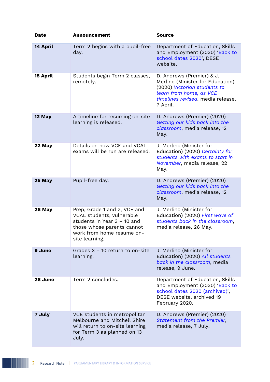| <b>Date</b> | <b>Announcement</b>                                                                                                                                                   | <b>Source</b>                                                                                                                                                             |
|-------------|-----------------------------------------------------------------------------------------------------------------------------------------------------------------------|---------------------------------------------------------------------------------------------------------------------------------------------------------------------------|
| 14 April    | Term 2 begins with a pupil-free<br>day.                                                                                                                               | Department of Education, Skills<br>and Employment (2020) 'Back to<br>school dates 2020', DESE<br>website.                                                                 |
| 15 April    | Students begin Term 2 classes,<br>remotely.                                                                                                                           | D. Andrews (Premier) & J.<br>Merlino (Minister for Education)<br>(2020) Victorian students to<br>learn from home, as VCE<br>timelines revised, media release,<br>7 April. |
| 12 May      | A timeline for resuming on-site<br>learning is released.                                                                                                              | D. Andrews (Premier) (2020)<br>Getting our kids back into the<br>classroom, media release, 12<br>May.                                                                     |
| 22 May      | Details on how VCE and VCAL<br>exams will be run are released.                                                                                                        | J. Merlino (Minister for<br>Education) (2020) Certainty for<br>students with exams to start in<br>November, media release, 22<br>May.                                     |
| 25 May      | Pupil-free day.                                                                                                                                                       | D. Andrews (Premier) (2020)<br>Getting our kids back into the<br>classroom, media release, 12<br>May.                                                                     |
| 26 May      | Prep, Grade 1 and 2, VCE and<br>VCAL students, vulnerable<br>students in Year 3 - 10 and<br>those whose parents cannot<br>work from home resume on-<br>site learning. | J. Merlino (Minister for<br>Education) (2020) First wave of<br>students back in the classroom,<br>media release, 26 May.                                                  |
| 9 June      | Grades 3 - 10 return to on-site<br>learning.                                                                                                                          | J. Merlino (Minister for<br>Education) (2020) All students<br>back in the classroom, media<br>release, 9 June.                                                            |
| 26 June     | Term 2 concludes.                                                                                                                                                     | Department of Education, Skills<br>and Employment (2020) 'Back to<br>school dates 2020 (archived)',<br>DESE website, archived 19<br>February 2020.                        |
| 7 July      | VCE students in metropolitan<br>Melbourne and Mitchell Shire<br>will return to on-site learning<br>for Term 3 as planned on 13<br>July.                               | D. Andrews (Premier) (2020)<br><b>Statement from the Premier,</b><br>media release, 7 July.                                                                               |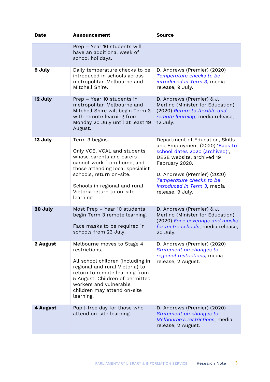| <b>Date</b> | <b>Announcement</b>                                                                                                                                                                                                                                            | <b>Source</b>                                                                                                                                                                                                                                                    |
|-------------|----------------------------------------------------------------------------------------------------------------------------------------------------------------------------------------------------------------------------------------------------------------|------------------------------------------------------------------------------------------------------------------------------------------------------------------------------------------------------------------------------------------------------------------|
|             | Prep - Year 10 students will<br>have an additional week of<br>school holidays.                                                                                                                                                                                 |                                                                                                                                                                                                                                                                  |
| 9 July      | Daily temperature checks to be<br>introduced in schools across<br>metropolitan Melbourne and<br>Mitchell Shire.                                                                                                                                                | D. Andrews (Premier) (2020)<br>Temperature checks to be<br>introduced in Term 3, media<br>release, 9 July.                                                                                                                                                       |
| 12 July     | Prep - Year 10 students in<br>metropolitan Melbourne and<br>Mitchell Shire will begin Term 3<br>with remote learning from<br>Monday 20 July until at least 19<br>August.                                                                                       | D. Andrews (Premier) & J.<br>Merlino (Minister for Education)<br>(2020) Return to flexible and<br>remote learning, media release,<br>12 July.                                                                                                                    |
| 13 July     | Term 3 begins.<br>Only VCE, VCAL and students<br>whose parents and carers<br>cannot work from home, and<br>those attending local specialist<br>schools, return on-site.<br>Schools in regional and rural<br>Victoria return to on-site<br>learning.            | Department of Education, Skills<br>and Employment (2020) 'Back to<br>school dates 2020 (archived)',<br>DESE website, archived 19<br>February 2020.<br>D. Andrews (Premier) (2020)<br>Temperature checks to be<br>introduced in Term 3, media<br>release, 9 July. |
| 20 July     | Most Prep - Year 10 students<br>begin Term 3 remote learning.<br>Face masks to be required in<br>schools from 23 July.                                                                                                                                         | D. Andrews (Premier) & J.<br>Merlino (Minister for Education)<br>(2020) Face coverings and masks<br>for metro schools, media release,<br>20 July.                                                                                                                |
| 2 August    | Melbourne moves to Stage 4<br>restrictions.<br>All school children (including in<br>regional and rural Victoria) to<br>return to remote learning from<br>5 August. Children of permitted<br>workers and vulnerable<br>children may attend on-site<br>learning. | D. Andrews (Premier) (2020)<br>Statement on changes to<br>regional restrictions, media<br>release, 2 August.                                                                                                                                                     |
| 4 August    | Pupil-free day for those who<br>attend on-site learning.                                                                                                                                                                                                       | D. Andrews (Premier) (2020)<br>Statement on changes to<br>Melbourne's restrictions, media<br>release, 2 August.                                                                                                                                                  |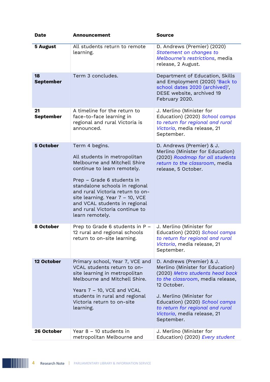| <b>Date</b>            | <b>Announcement</b>                                                                                                                                                                                                                                                                                                                        | <b>Source</b>                                                                                                                                                                                                                                                                                      |
|------------------------|--------------------------------------------------------------------------------------------------------------------------------------------------------------------------------------------------------------------------------------------------------------------------------------------------------------------------------------------|----------------------------------------------------------------------------------------------------------------------------------------------------------------------------------------------------------------------------------------------------------------------------------------------------|
| <b>5 August</b>        | All students return to remote<br>learning.                                                                                                                                                                                                                                                                                                 | D. Andrews (Premier) (2020)<br>Statement on changes to<br>Melbourne's restrictions, media<br>release, 2 August.                                                                                                                                                                                    |
| 18<br><b>September</b> | Term 3 concludes.                                                                                                                                                                                                                                                                                                                          | Department of Education, Skills<br>and Employment (2020) 'Back to<br>school dates 2020 (archived)',<br>DESE website, archived 19<br>February 2020.                                                                                                                                                 |
| 21<br><b>September</b> | A timeline for the return to<br>face-to-face learning in<br>regional and rural Victoria is<br>announced.                                                                                                                                                                                                                                   | J. Merlino (Minister for<br>Education) (2020) School camps<br>to return for regional and rural<br>Victoria, media release, 21<br>September.                                                                                                                                                        |
| 5 October              | Term 4 begins.<br>All students in metropolitan<br>Melbourne and Mitchell Shire<br>continue to learn remotely.<br>Prep – Grade 6 students in<br>standalone schools in regional<br>and rural Victoria return to on-<br>site learning. Year 7 – 10, VCE<br>and VCAL students in regional<br>and rural Victoria continue to<br>learn remotely. | D. Andrews (Premier) & J.<br>Merlino (Minister for Education)<br>(2020) Roadmap for all students<br>return to the classroom, media<br>release, 5 October.                                                                                                                                          |
| 8 October              | Prep to Grade 6 students in P -<br>12 rural and regional schools<br>return to on-site learning.                                                                                                                                                                                                                                            | J. Merlino (Minister for<br>Education) (2020) School camps<br>to return for regional and rural<br>Victoria, media release, 21<br>September.                                                                                                                                                        |
| 12 October             | Primary school, Year 7, VCE and<br>VCAL students return to on-<br>site learning in metropolitan<br>Melbourne and Mitchell Shire.<br>Years 7 - 10, VCE and VCAL<br>students in rural and regional<br>Victoria return to on-site<br>learning.                                                                                                | D. Andrews (Premier) & J.<br>Merlino (Minister for Education)<br>(2020) Metro students head back<br>to the classroom, media release,<br>12 October.<br>J. Merlino (Minister for<br>Education) (2020) School camps<br>to return for regional and rural<br>Victoria, media release, 21<br>September. |
| 26 October             | Year $8 - 10$ students in<br>metropolitan Melbourne and                                                                                                                                                                                                                                                                                    | J. Merlino (Minister for<br>Education) (2020) Every student                                                                                                                                                                                                                                        |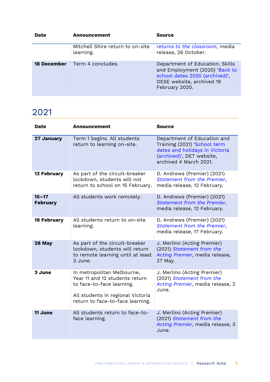| <b>Date</b>        | Announcement                                  | <b>Source</b>                                                                                                                                      |
|--------------------|-----------------------------------------------|----------------------------------------------------------------------------------------------------------------------------------------------------|
|                    | Mitchell Shire return to on-site<br>learning. | returns to the classroom, media<br>release, 26 October.                                                                                            |
| <b>18 December</b> | Term 4 concludes.                             | Department of Education, Skills<br>and Employment (2020) 'Back to<br>school dates 2020 (archived)',<br>DESE website, archived 19<br>February 2020. |

### 2021

| Date                         | Announcement                                                                                                                                                       | Source                                                                                                                                               |
|------------------------------|--------------------------------------------------------------------------------------------------------------------------------------------------------------------|------------------------------------------------------------------------------------------------------------------------------------------------------|
| 27 January                   | Term 1 begins. All students<br>return to learning on-site.                                                                                                         | Department of Education and<br>Training (2021) 'School term<br>dates and holidays in Victoria<br>(archived)', DET website,<br>archived 4 March 2021. |
| <b>12 February</b>           | As part of the circuit-breaker<br>lockdown, students will not<br>return to school on 15 February.                                                                  | D. Andrews (Premier) (2021)<br><b>Statement from the Premier,</b><br>media release, 12 February.                                                     |
| $15 - 17$<br><b>February</b> | All students work remotely.                                                                                                                                        | D. Andrews (Premier) (2021)<br><b>Statement from the Premier,</b><br>media release, 12 February.                                                     |
| <b>18 February</b>           | All students return to on-site<br>learning.                                                                                                                        | D. Andrews (Premier) (2021)<br>Statement from the Premier,<br>media release, 17 February.                                                            |
| 28 May                       | As part of the circuit-breaker<br>lockdown, students will return<br>to remote learning until at least<br>3 June.                                                   | J. Merlino (Acting Premier)<br>(2021) Statement from the<br>Acting Premier, media release,<br>27 May.                                                |
| 3 June                       | In metropolitan Melbourne,<br>Year 11 and 12 students return<br>to face-to-face learning.<br>All students in regional Victoria<br>return to face-to-face learning. | J. Merlino (Acting Premier)<br>(2021) Statement from the<br>Acting Premier, media release, 2<br>June.                                                |
| 11 June                      | All students return to face-to-<br>face learning.                                                                                                                  | J. Merlino (Acting Premier)<br>(2021) Statement from the<br>Acting Premier, media release, 3<br>June.                                                |